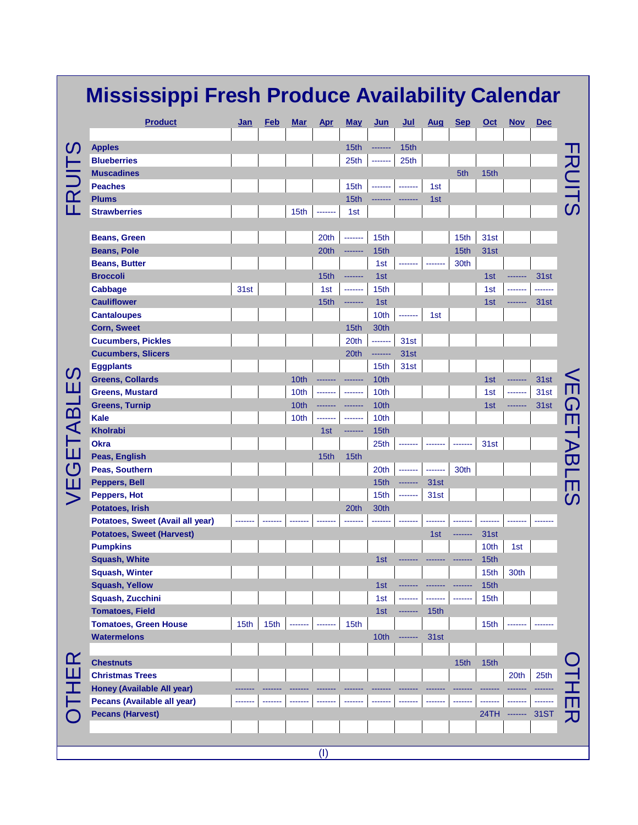|           | <b>Mississippi Fresh Produce Availability Calendar</b> |                  |      |            |            |                  |         |         |      |            |      |              |             |                              |
|-----------|--------------------------------------------------------|------------------|------|------------|------------|------------------|---------|---------|------|------------|------|--------------|-------------|------------------------------|
|           | <b>Product</b>                                         | Jan              | Feb  | <b>Mar</b> | <b>Apr</b> | <b>May</b>       | Jun     | Jul     | Aug  | <b>Sep</b> | Oct  | <b>Nov</b>   | <b>Dec</b>  |                              |
| <u>(၇</u> | <b>Apples</b>                                          |                  |      |            |            | 15th             | ------- | 15th    |      |            |      |              |             |                              |
|           | <b>Blueberries</b>                                     |                  |      |            |            | 25th             |         | 25th    |      |            |      |              |             |                              |
|           | <b>Muscadines</b>                                      |                  |      |            |            |                  |         |         |      | 5th        | 15th |              |             |                              |
| FRUI      | <b>Peaches</b>                                         |                  |      |            |            | 15th             |         |         | 1st  |            |      |              |             | RUITS                        |
|           | <b>Plums</b>                                           |                  |      |            |            | 15th             |         |         | 1st  |            |      |              |             |                              |
|           | <b>Strawberries</b>                                    |                  |      | 15th       | -------    | 1st              |         |         |      |            |      |              |             |                              |
|           |                                                        |                  |      |            |            |                  |         |         |      |            |      |              |             |                              |
|           | <b>Beans, Green</b>                                    |                  |      |            | 20th       | -------          | 15th    |         |      | 15th       | 31st |              |             |                              |
|           | <b>Beans, Pole</b>                                     |                  |      |            | 20th       | -------          | 15th    |         |      | 15th       | 31st |              |             |                              |
|           | <b>Beans, Butter</b>                                   |                  |      |            |            |                  | 1st     |         |      | 30th       |      |              |             |                              |
|           | <b>Broccoli</b>                                        |                  |      |            | 15th       |                  | 1st     |         |      |            | 1st  |              | 31st        |                              |
|           | <b>Cabbage</b>                                         | 31st             |      |            | 1st        | -------          | 15th    |         |      |            | 1st  |              | -----       |                              |
|           | <b>Cauliflower</b>                                     |                  |      |            | 15th       | -------          | 1st     |         |      |            | 1st  |              | 31st        |                              |
|           | <b>Cantaloupes</b>                                     |                  |      |            |            |                  | 10th    |         | 1st  |            |      |              |             |                              |
|           | <b>Corn, Sweet</b>                                     |                  |      |            |            | 15th             | 30th    |         |      |            |      |              |             |                              |
|           | <b>Cucumbers, Pickles</b>                              |                  |      |            |            | 20th             | ------- | 31st    |      |            |      |              |             |                              |
|           | <b>Cucumbers, Slicers</b>                              |                  |      |            |            | 20th             | ------- | 31st    |      |            |      |              |             |                              |
|           | <b>Eggplants</b>                                       |                  |      |            |            |                  | 15th    | 31st    |      |            |      |              |             |                              |
| <u>(၇</u> | <b>Greens, Collards</b>                                |                  |      | 10th       |            | -------          | 10th    |         |      |            | 1st  | -------      | 31st        |                              |
|           | <b>Greens, Mustard</b>                                 |                  |      | 10th       | -------    | -------          | 10th    |         |      |            | 1st  | -------      | 31st        |                              |
| GETABLE   | <b>Greens, Turnip</b>                                  |                  |      | 10th       | -------    | -------          | 10th    |         |      |            | 1st  | -------      | 31st        |                              |
|           | <b>Kale</b>                                            |                  |      | 10th       | -------    | -------          | 10th    |         |      |            |      |              |             | ш                            |
|           | <b>Kholrabi</b>                                        |                  |      |            | 1st        | -------          | 15th    |         |      |            |      |              |             |                              |
|           | <b>Okra</b>                                            |                  |      |            |            |                  | 25th    |         |      | -----      | 31st |              |             |                              |
|           | Peas, English                                          |                  |      |            | 15th       | 15 <sub>th</sub> |         |         |      |            |      |              |             | $\bm{\mathsf{\overline{w}}}$ |
|           | Peas, Southern                                         |                  |      |            |            |                  | 20th    |         |      | 30th       |      |              |             |                              |
| ш         | Peppers, Bell                                          |                  |      |            |            |                  | 15th    |         | 31st |            |      |              |             |                              |
|           | Peppers, Hot                                           |                  |      |            |            |                  | 15th    |         | 31st |            |      |              |             | CN,                          |
|           | Potatoes, Irish                                        |                  |      |            |            | 20th             | 30th    |         |      |            |      |              |             |                              |
|           | Potatoes, Sweet (Avail all year)                       |                  |      |            |            |                  |         |         |      |            |      |              |             |                              |
|           | <b>Potatoes, Sweet (Harvest)</b>                       |                  |      |            |            |                  |         |         | 1st  | --------   | 31st |              |             |                              |
|           | <b>Pumpkins</b>                                        |                  |      |            |            |                  |         |         |      |            | 10th | 1st          |             |                              |
|           | <b>Squash, White</b>                                   |                  |      |            |            |                  | 1st     |         |      |            | 15th |              |             |                              |
|           | <b>Squash, Winter</b>                                  |                  |      |            |            |                  |         |         |      |            | 15th | 30th         |             |                              |
|           | <b>Squash, Yellow</b>                                  |                  |      |            |            |                  | 1st     |         |      |            | 15th |              |             |                              |
|           | Squash, Zucchini                                       |                  |      |            |            |                  | 1st     |         |      |            | 15th |              |             |                              |
| <u>ഹ</u>  | <b>Tomatoes, Field</b>                                 |                  |      |            |            |                  | 1st     | ------- | 15th |            |      |              |             |                              |
|           | <b>Tomatoes, Green House</b>                           | 15 <sub>th</sub> | 15th |            | -------    | 15 <sub>th</sub> |         |         |      |            | 15th |              |             |                              |
|           | <b>Watermelons</b>                                     |                  |      |            |            |                  | 10th    | ------- | 31st |            |      |              |             |                              |
|           |                                                        |                  |      |            |            |                  |         |         |      |            |      |              |             |                              |
|           | <b>Chestnuts</b>                                       |                  |      |            |            |                  |         |         |      | 15th       | 15th |              |             |                              |
| Ш         | <b>Christmas Trees</b>                                 |                  |      |            |            |                  |         |         |      |            |      | 20th         | 25th        |                              |
|           | Honey (Available All year)                             |                  |      |            |            |                  |         |         |      |            |      |              |             |                              |
|           | Pecans (Available all year)                            |                  |      |            |            |                  |         |         |      |            |      |              | -------     |                              |
|           | <b>Pecans (Harvest)</b>                                |                  |      |            |            |                  |         |         |      |            |      | 24TH ------- | <b>31ST</b> |                              |
|           |                                                        |                  |      |            |            |                  |         |         |      |            |      |              |             |                              |
|           |                                                        |                  |      |            |            |                  |         |         |      |            |      |              |             |                              |
|           |                                                        |                  |      |            | (1)        |                  |         |         |      |            |      |              |             |                              |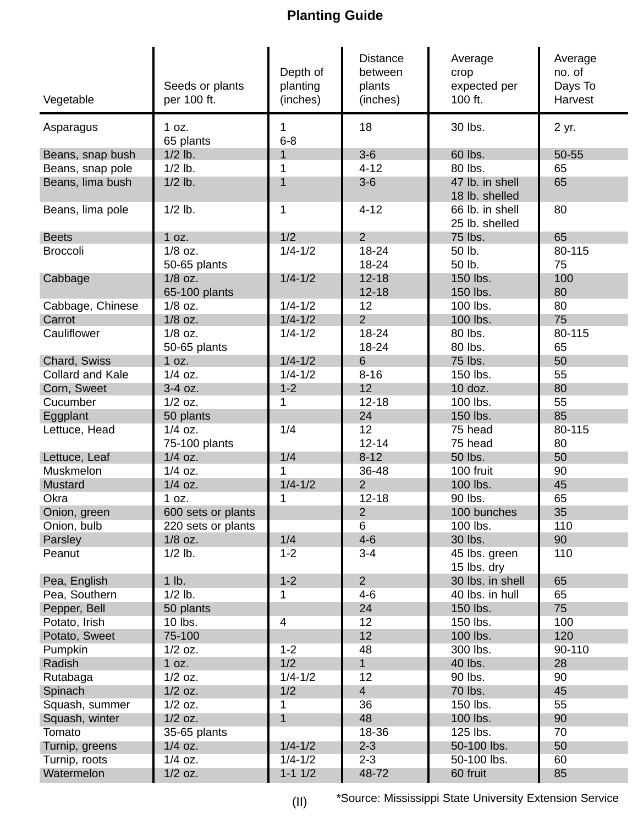## **Planting Guide**

| Vegetable               | Seeds or plants<br>per 100 ft. | Depth of<br>planting<br>(inches) | <b>Distance</b><br>between<br>plants<br>(inches) | Average<br>crop<br>expected per<br>100 ft. | Average<br>no. of<br>Days To<br>Harvest |
|-------------------------|--------------------------------|----------------------------------|--------------------------------------------------|--------------------------------------------|-----------------------------------------|
| Asparagus               | 1 oz.<br>65 plants             | 1<br>$6 - 8$                     | 18                                               | 30 lbs.                                    | 2 yr.                                   |
| Beans, snap bush        | $1/2$ lb.                      |                                  | $3-6$                                            | 60 lbs.                                    | 50-55                                   |
| Beans, snap pole        | $1/2$ lb.                      | 1                                | $4 - 12$                                         | 80 lbs.                                    | 65                                      |
| Beans, lima bush        | $1/2$ lb.                      | 1                                | $3-6$                                            | 47 lb. in shell<br>18 lb. shelled          | 65                                      |
| Beans, lima pole        | $1/2$ lb.                      | 1                                | $4 - 12$                                         | 66 lb. in shell<br>25 lb. shelled          | 80                                      |
| <b>Beets</b>            | 1 oz.                          | 1/2                              | $\overline{2}$                                   | 75 lbs.                                    | 65                                      |
| <b>Broccoli</b>         | $1/8$ oz.                      | $1/4 - 1/2$                      | 18-24                                            | 50 lb.                                     | 80-115                                  |
|                         | 50-65 plants                   |                                  | 18-24                                            | 50 lb.                                     | 75                                      |
| Cabbage                 | $1/8$ oz.                      | $1/4 - 1/2$                      | $12 - 18$                                        | 150 lbs.                                   | 100                                     |
|                         | 65-100 plants                  |                                  | $12 - 18$                                        | 150 lbs.                                   | 80                                      |
| Cabbage, Chinese        | $1/8$ oz.                      | $1/4 - 1/2$                      | 12                                               | 100 lbs.                                   | 80                                      |
| Carrot                  | $1/8$ oz.                      | $1/4 - 1/2$                      | $\overline{2}$                                   | 100 lbs.                                   | 75                                      |
| Cauliflower             | $1/8$ oz.                      | $1/4 - 1/2$                      | 18-24                                            | 80 lbs.                                    | 80-115                                  |
|                         | 50-65 plants                   |                                  | 18-24                                            | 80 lbs.                                    | 65                                      |
| Chard, Swiss            | 1 oz.                          | $1/4 - 1/2$                      | $6\phantom{1}$                                   | 75 lbs.                                    | 50                                      |
| <b>Collard and Kale</b> | $1/4$ oz.                      | $1/4 - 1/2$                      | $8 - 16$                                         | 150 lbs.                                   | 55                                      |
| Corn, Sweet             | 3-4 oz.                        | $1 - 2$                          | 12                                               | 10 doz.                                    | 80                                      |
| Cucumber                | $1/2$ oz.                      | 1                                | $12 - 18$                                        | 100 lbs.                                   | 55                                      |
| Eggplant                | 50 plants                      |                                  | 24                                               | 150 lbs.                                   | 85                                      |
| Lettuce, Head           | $1/4$ oz.<br>75-100 plants     | 1/4                              | 12<br>$12 - 14$                                  | 75 head<br>75 head                         | 80-115<br>80                            |
| Lettuce, Leaf           | $1/4$ oz.                      | 1/4                              | $8 - 12$                                         | 50 lbs.                                    | 50                                      |
| Muskmelon               | $1/4$ oz.                      | 1                                | 36-48                                            | 100 fruit                                  | 90                                      |
| Mustard                 | $1/4$ oz.                      | $1/4 - 1/2$                      | $\overline{2}$                                   | 100 lbs.                                   | 45                                      |
| Okra                    | 1 oz.                          | 1                                | $12 - 18$                                        | 90 lbs.                                    | 65                                      |
| Onion, green            | 600 sets or plants             |                                  | $\overline{2}$                                   | 100 bunches                                | 35                                      |
| Onion, bulb             | 220 sets or plants             |                                  | 6                                                | 100 lbs.                                   | 110                                     |
| Parsley                 | $1/8$ oz.                      | 1/4                              | $4 - 6$                                          | 30 lbs.                                    | 90                                      |
| Peanut                  | $1/2$ lb.                      | $1 - 2$                          | $3 - 4$                                          | 45 lbs. green<br>15 lbs. dry               | 110                                     |
| Pea, English            | $1$ lb.                        | $1 - 2$                          | $\overline{2}$                                   | 30 lbs. in shell                           | 65                                      |
| Pea, Southern           | $1/2$ lb.                      | 1                                | $4 - 6$                                          | 40 lbs. in hull                            | 65                                      |
| Pepper, Bell            | 50 plants                      |                                  | 24                                               | 150 lbs.                                   | 75                                      |
| Potato, Irish           | 10 lbs.                        | 4                                | 12                                               | 150 lbs.                                   | 100                                     |
| Potato, Sweet           | 75-100                         |                                  | 12                                               | 100 lbs.                                   | 120                                     |
| Pumpkin                 | $1/2$ oz.                      | $1 - 2$                          | 48                                               | 300 lbs.                                   | 90-110                                  |
| Radish                  | 1 oz.                          | 1/2                              | 1                                                | 40 lbs.                                    | 28                                      |
| Rutabaga                | $1/2$ oz.                      | $1/4 - 1/2$                      | 12                                               | 90 lbs.                                    | 90                                      |
| Spinach                 | $1/2$ oz.                      | 1/2                              | $\overline{4}$                                   | 70 lbs.                                    | 45                                      |
| Squash, summer          | $1/2$ oz.                      | 1                                | 36                                               | 150 lbs.                                   | 55                                      |
| Squash, winter          | $1/2$ oz.                      | $\mathbf{1}$                     | 48                                               | 100 lbs.                                   | 90                                      |
| Tomato                  | 35-65 plants                   |                                  | 18-36                                            | 125 lbs.                                   | 70                                      |
| Turnip, greens          | $1/4$ oz.                      | $1/4 - 1/2$                      | $2 - 3$                                          | 50-100 lbs.                                | 50                                      |
| Turnip, roots           | $1/4$ oz.                      | $1/4 - 1/2$                      | $2 - 3$                                          | 50-100 lbs.                                | 60                                      |
| Watermelon              | $1/2$ oz.                      | $1-1$ $1/2$                      | 48-72                                            | 60 fruit                                   | 85                                      |

(II) \*Source: Mississippi State University Extension Service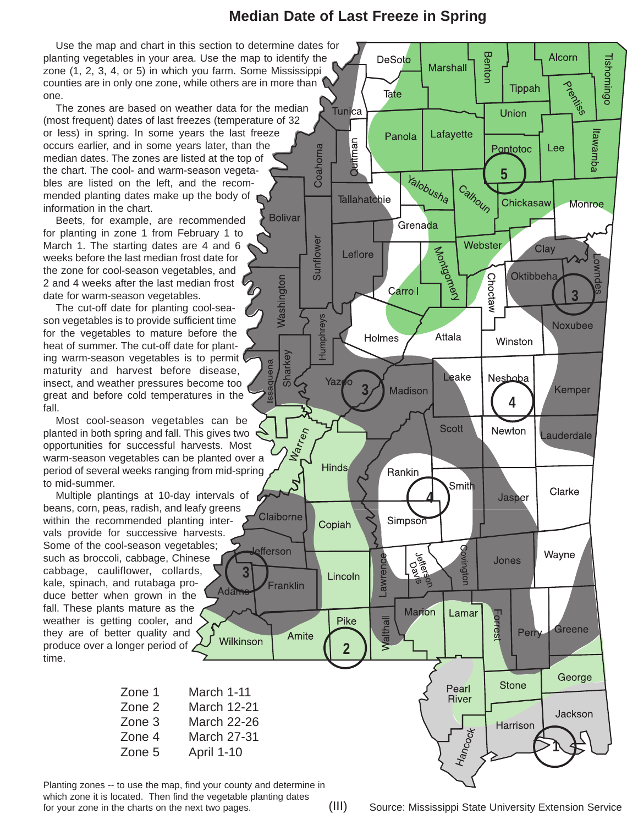## **Median Date of Last Freeze in Spring**

Washingtor

Sharkey

**L**efferson

Use the map and chart in this section to determine dates for planting vegetables in your area. Use the map to identify the zone (1, 2, 3, 4, or 5) in which you farm. Some Mississippi counties are in only one zone, while others are in more than one.

The zones are based on weather data for the median (most frequent) dates of last freezes (temperature of 32 or less) in spring. In some years the last freeze occurs earlier, and in some years later, than the median dates. The zones are listed at the top of the chart. The cool- and warm-season vegetables are listed on the left, and the recommended planting dates make up the body of information in the chart. **Bolivar** 

Beets, for example, are recommended for planting in zone 1 from February 1 to March 1. The starting dates are 4 and 6 weeks before the last median frost date for the zone for cool-season vegetables, and 2 and 4 weeks after the last median frost date for warm-season vegetables.

The cut-off date for planting cool-season vegetables is to provide sufficient time for the vegetables to mature before the heat of summer. The cut-off date for planting warm-season vegetables is to permit maturity and harvest before disease, insect, and weather pressures become too great and before cold temperatures in the fall.

Most cool-season vegetables can be planted in both spring and fall. This gives two opportunities for successful harvests. Most warm-season vegetables can be planted over a period of several weeks ranging from mid-spring to mid-summer.

Multiple plantings at 10-day intervals of beans, corn, peas, radish, and leafy greens within the recommended planting intervals provide for successive harvests. Some of the cool-season vegetables; such as broccoli, cabbage, Chinese cabbage, cauliflower, collards, **3** kale, spinach, and rutabaga pro-Adam duce better when grown in the fall. These plants mature as the weather is getting cooler, and they are of better quality and Wilkinson produce over a longer period of time.

| March 1-11         |
|--------------------|
| <b>March 12-21</b> |
| <b>March 22-26</b> |
| <b>March 27-31</b> |
| April 1-10         |
|                    |

Planting zones -- to use the map, find your county and determine in which zone it is located. Then find the vegetable planting dates for your zone in the charts on the next two pages. (III) Source: Mississippi State University Extension Service

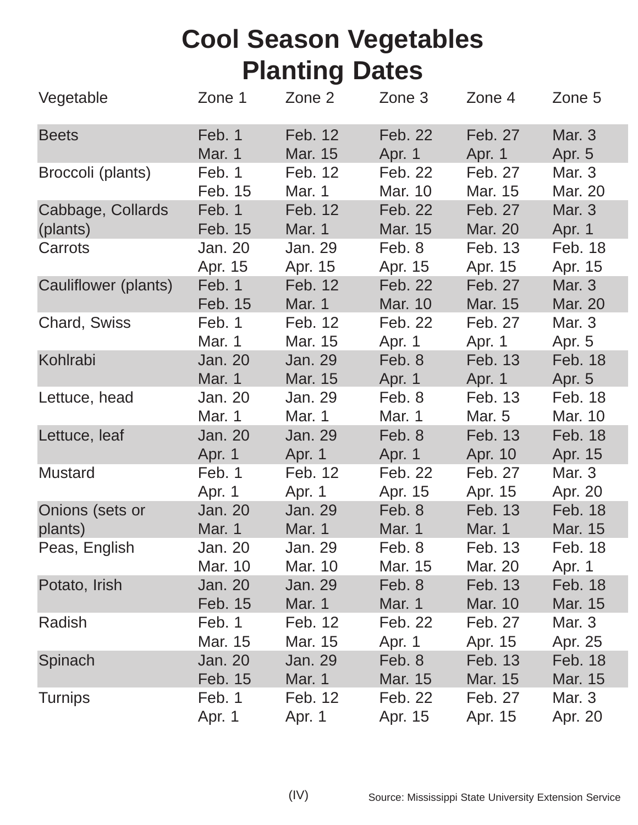## **Cool Season Vegetables Planting Dates**

| Vegetable            | Zone 1         | Zone 2        | Zone 3        | Zone 4  | Zone 5         |
|----------------------|----------------|---------------|---------------|---------|----------------|
| <b>Beets</b>         | Feb. 1         | Feb. 12       | Feb. 22       | Feb. 27 | <b>Mar. 3</b>  |
|                      | <b>Mar. 1</b>  | Mar. 15       | Apr. 1        | Apr. 1  | Apr. 5         |
| Broccoli (plants)    | Feb. 1         | Feb. 12       | Feb. 22       | Feb. 27 | Mar. 3         |
|                      | Feb. 15        | Mar. 1        | Mar. 10       | Mar. 15 | Mar. 20        |
| Cabbage, Collards    | Feb. 1         | Feb. 12       | Feb. 22       | Feb. 27 | <b>Mar. 3</b>  |
| (plants)             | Feb. 15        | Mar. 1        | Mar. 15       | Mar. 20 | Apr. 1         |
| Carrots              | Jan. 20        | Jan. 29       | Feb. 8        | Feb. 13 | Feb. 18        |
|                      | Apr. 15        | Apr. 15       | Apr. 15       | Apr. 15 | Apr. 15        |
| Cauliflower (plants) | Feb. 1         | Feb. 12       | Feb. 22       | Feb. 27 | Mar. 3         |
|                      | Feb. 15        | Mar. 1        | Mar. 10       | Mar. 15 | Mar. 20        |
| <b>Chard, Swiss</b>  | Feb. 1         | Feb. 12       | Feb. 22       | Feb. 27 | Mar. 3         |
|                      | Mar. 1         | Mar. 15       | Apr. 1        | Apr. 1  | Apr. 5         |
| Kohlrabi             | <b>Jan. 20</b> | Jan. 29       | Feb. 8        | Feb. 13 | <b>Feb. 18</b> |
|                      | <b>Mar. 1</b>  | Mar. 15       | Apr. 1        | Apr. 1  | Apr. 5         |
| Lettuce, head        | Jan. 20        | Jan. 29       | Feb. 8        | Feb. 13 | Feb. 18        |
|                      | Mar. 1         | Mar. 1        | Mar. 1        | Mar. 5  | Mar. 10        |
| Lettuce, leaf        | <b>Jan. 20</b> | Jan. 29       | Feb. 8        | Feb. 13 | Feb. 18        |
|                      | Apr. 1         | Apr. 1        | Apr. 1        | Apr. 10 | Apr. 15        |
| <b>Mustard</b>       | Feb. 1         | Feb. 12       | Feb. 22       | Feb. 27 | Mar. 3         |
|                      | Apr. 1         | Apr. 1        | Apr. 15       | Apr. 15 | Apr. 20        |
| Onions (sets or      | <b>Jan. 20</b> | Jan. 29       | Feb. 8        | Feb. 13 | <b>Feb. 18</b> |
| plants)              | <b>Mar. 1</b>  | <b>Mar. 1</b> | <b>Mar. 1</b> | Mar. 1  | Mar. 15        |
| Peas, English        | Jan. 20        | Jan. 29       | Feb. 8        | Feb. 13 | Feb. 18        |
|                      | Mar. 10        | Mar. 10       | Mar. 15       | Mar. 20 | Apr. 1         |
| Potato, Irish        | <b>Jan. 20</b> | Jan. 29       | Feb. 8        | Feb. 13 | Feb. 18        |
|                      | Feb. 15        | <b>Mar. 1</b> | <b>Mar. 1</b> | Mar. 10 | Mar. 15        |
| Radish               | Feb. 1         | Feb. 12       | Feb. 22       | Feb. 27 | Mar. 3         |
|                      | Mar. 15        | Mar. 15       | Apr. 1        | Apr. 15 | Apr. 25        |
| Spinach              | <b>Jan. 20</b> | Jan. 29       | Feb. 8        | Feb. 13 | Feb. 18        |
|                      | Feb. 15        | <b>Mar. 1</b> | Mar. 15       | Mar. 15 | Mar. 15        |
| <b>Turnips</b>       | Feb. 1         | Feb. 12       | Feb. 22       | Feb. 27 | Mar. 3         |
|                      | Apr. 1         | Apr. 1        | Apr. 15       | Apr. 15 | Apr. 20        |